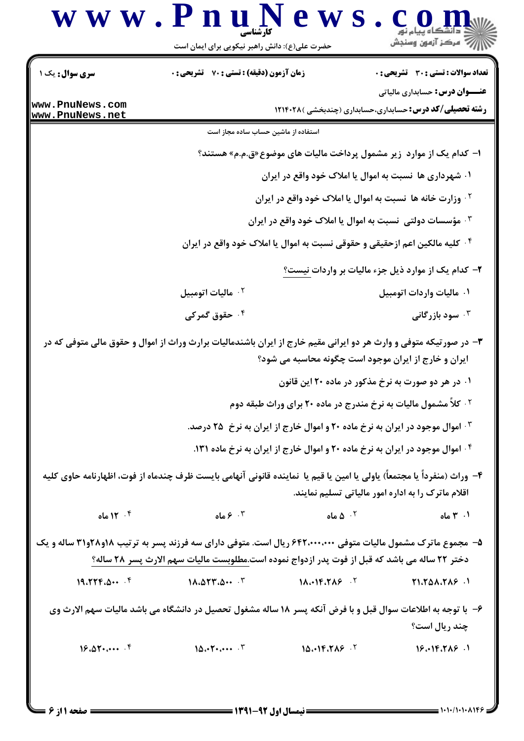|                                    | حضرت علی(ع): دانش راهبر نیکویی برای ایمان است                                                                                                                                                                 |                                                                                            | ≤ دانشڪاه پيام نور<br>ر∕~ مرڪز آزمون وسنڊش                                                              |
|------------------------------------|---------------------------------------------------------------------------------------------------------------------------------------------------------------------------------------------------------------|--------------------------------------------------------------------------------------------|---------------------------------------------------------------------------------------------------------|
| <b>سری سوال:</b> یک ۱              | <b>زمان آزمون (دقیقه) : تستی : 70 ٪ تشریحی : 0</b>                                                                                                                                                            |                                                                                            | تعداد سوالات : تستى : 30 - تشريحي : 0                                                                   |
| www.PnuNews.com<br>www.PnuNews.net |                                                                                                                                                                                                               |                                                                                            | <b>عنـــوان درس:</b> حسابداری مالیاتی<br><b>رشته تحصیلی/کد درس:</b> حسابداری،حسابداری (چندبخشی )۱۲۱۴۰۲۸ |
|                                    | استفاده از ماشین حساب ساده مجاز است                                                                                                                                                                           |                                                                                            |                                                                                                         |
|                                    |                                                                                                                                                                                                               |                                                                                            | ا– کدام یک از موارد  زیر مشمول پرداخت مالیات های موضوع«ق.م.م» هستند؟                                    |
|                                    |                                                                                                                                                                                                               | ۰۱ شهرداری ها نسبت به اموال یا املاک خود واقع در ایران                                     |                                                                                                         |
|                                    |                                                                                                                                                                                                               | <sup>۲</sup> ۰ وزارت خانه ها  نسبت به اموال یا املاک خود واقع در ایران                     |                                                                                                         |
|                                    |                                                                                                                                                                                                               |                                                                                            | ۰۳ مؤسسات دولتی  نسبت به اموال یا املاک خود واقع در ایران                                               |
|                                    |                                                                                                                                                                                                               |                                                                                            | <sup>۰۴</sup> کلیه مالکین اعم ازحقیقی و حقوقی نسبت به اموال یا املاک خود واقع در ایران                  |
|                                    |                                                                                                                                                                                                               |                                                                                            | ۲- کدام یک از موارد ذیل جزء مالیات بر واردات <u>نیست؟</u>                                               |
|                                    | ۰ <sup>۲</sup> ماليات اتومبيل                                                                                                                                                                                 |                                                                                            | ۰۱ ماليات واردات اتومبيل                                                                                |
|                                    | ۰۴ حقوق گمرکی                                                                                                                                                                                                 |                                                                                            | سود بازرگانی $\cdot^{\mathsf{\mathtt{w}}}$                                                              |
|                                    | ۳- در صورتیکه متوفی و وارث هر دو ایرانی مقیم خارج از ایران باشندمالیات برارث وراث از اموال و حقوق مالی متوفی که در                                                                                            | ایران و خارج از ایران موجود است چگونه محاسبه می شود؟                                       |                                                                                                         |
|                                    |                                                                                                                                                                                                               |                                                                                            | ۰۱ در هر دو صورت به نرخ مذکور در ماده ۲۰ این قانون                                                      |
|                                    |                                                                                                                                                                                                               | <sup>۲</sup> ۰ کلاً مشمول مالیات به نرخ مندرج در ماده ۲۰ برای وراث طبقه دوم                |                                                                                                         |
|                                    |                                                                                                                                                                                                               | ۰ <sup>۳ .</sup> اموال موجود در ایران به نرخ ماده ۲۰ و اموال خارج از ایران به نرخ ۲۵ درصد. |                                                                                                         |
|                                    |                                                                                                                                                                                                               | ۰۴ اموال موجود در ایران به نرخ ماده ۲۰ و اموال خارج از ایران به نرخ ماده ۱۳۱.              |                                                                                                         |
|                                    | ۴– وراث (منفرداً یا مجتمعاً) یاولی یا امین یا قیم یا  نماینده قانونی آنهامی بایست ظرف چندماه از فوت، اظهارنامه حاوی کلیه                                                                                      |                                                                                            | اقلام ماترک را به اداره امور مالیاتی تسلیم نمایند.                                                      |
| ۰۴ ماه $\mathcal{N}$ ۰۴            |                                                                                                                                                                                                               |                                                                                            | $\mathfrak{a}$ . $\mathfrak{a}$ . $\mathfrak{a}$ . $\mathfrak{a}$ . $\mathfrak{a}$<br>۰۱ ۳ ماه          |
|                                    | ۵- مجموع ماترک مشمول مالیات متوفی ۶۴۲،۰۰۰،۰۰۰ ریال است. متوفی دارای سه فرزند پسر به ترتیب ۱۸و۲۸و۳۱ ساله و یک<br>دختر ٢٢ ساله مي باشد كه قبل از فوت پدر ازدواج نموده است.مطلوبست ماليات سهم الارث پسر ٢٨ ساله؟ |                                                                                            |                                                                                                         |
| 19.779.0                           | $1\lambda. \Delta \Upsilon \Upsilon. \Delta \cdots \Upsilon$                                                                                                                                                  | $1\Lambda \cdot 11.7\Lambda 5$                                                             | $Y1.701.719$ .                                                                                          |
|                                    | ۶- با توجه به اطلاعات سوال قبل و با فرض آنکه پسر ۱۸ ساله مشغول تحصیل در دانشگاه می باشد مالیات سهم الارث وی                                                                                                   |                                                                                            | چند ریال است؟                                                                                           |
| $18.05$                            | 10.074                                                                                                                                                                                                        | 10.19.7AP                                                                                  | $18.18.718 - 1$                                                                                         |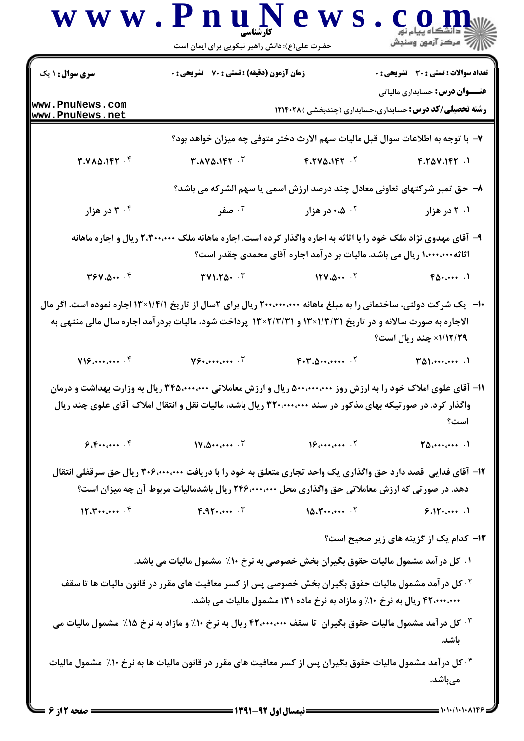|                                    |                                                                                                                                                                                                                  | حضرت علی(ع): دانش راهبر نیکویی برای ایمان است                                  |                                              |
|------------------------------------|------------------------------------------------------------------------------------------------------------------------------------------------------------------------------------------------------------------|--------------------------------------------------------------------------------|----------------------------------------------|
| <b>سری سوال : ۱ یک</b>             | <b>زمان آزمون (دقیقه) : تستی : 70 ٪ تشریحی : 0</b>                                                                                                                                                               |                                                                                | <b>تعداد سوالات : تستی : 30 ٪ تشریحی : 0</b> |
| www.PnuNews.com<br>www.PnuNews.net |                                                                                                                                                                                                                  | <b>رشته تحصیلی/کد درس:</b> حسابداری،حسابداری (چندبخشی )۱۲۱۴۰۲۸                 | <b>عنـــوان درس:</b> حسابداری مالیاتی        |
|                                    |                                                                                                                                                                                                                  | ٧- با توجه به اطلاعات سوال قبل ماليات سهم الارث دختر متوفى چه ميزان خواهد بود؟ |                                              |
| T. VAA. 197.9                      | $T.AVA$ . $T$                                                                                                                                                                                                    | $F.7V\Delta.197$ . $V$                                                         | F.70V.197.1                                  |
|                                    |                                                                                                                                                                                                                  | ۸– حق تمبر شرکتهای تعاونی معادل چند درصد ارزش اسمی یا سهم الشرکه می باشد؟      |                                              |
| ۰۴ در هزار                         | ۰۳ صفر                                                                                                                                                                                                           | ۰۰ ۰،۵ در هزار                                                                 | ۰۱ ۲ در هزار                                 |
|                                    | ۹- آقای مهدوی نژاد ملک خود را با اثاثه به اجاره واگذار کرده است. اجاره ماهانه ملک ۲،۳۰۰،۰۰۰ ریال و اجاره ماهانه                                                                                                  | آثاثه۱٬۰۰۰٬۰۰۰ ریال می باشد. مالیات بر در آمد اجاره آقای محمدی چقدر است؟       |                                              |
| $Y^{\varphi}Y_{\cdot}\Delta\cdots$ | $\mathbf{r}$ $\mathbf{v}$ $\mathbf{r}$ $\mathbf{r}$ $\mathbf{r}$                                                                                                                                                 | 154.0                                                                          | $F_{\Delta t}$                               |
|                                    | <b>الاجاره به صورت سالانه و در تاریخ ۱۳×۱۳×۱۳ و ۱۳×۲/۳/۳ پرداخت شود، مالیات بردرآمد اجاره سال مالی منتهی به</b>                                                                                                  |                                                                                | 1/1۲/۲۹× چند ریال است؟                       |
|                                    |                                                                                                                                                                                                                  |                                                                                |                                              |
|                                    | $Y_{\mathcal{F}}$ $Y$                                                                                                                                                                                            | $F \cdot T \cdot \Delta \cdots \cdots \cdot T$                                 |                                              |
|                                    | ۱۱– آقای علوی املاک خود را به ارزش روز ۵۰۰٬۰۰۰٬۰۰۰ ریال و ارزش معاملاتی ۳۴۵٬۰۰۰٬۰۰۰ ریال به وزارت بهداشت و درمان                                                                                                 |                                                                                |                                              |
|                                    | واگذار کرد. در صورتیکه بهای مذکور در سند ۳۲۰،۰۰۰،۰۰۰ ریال باشد، مالیات نقل و انتقال املاک آقای علوی چند ریال                                                                                                     |                                                                                | است؟                                         |
| 9.5                                | 11.2                                                                                                                                                                                                             | 18.4441                                                                        | $70$                                         |
|                                    | ۱۲– آقای فدایی قصد دارد حق واگذاری یک واحد تجاری متعلق به خود را با دریافت ۳۰۶٬۰۰۰٬۰۰۰ ریال حق سرقفلی انتقال<br>دهد. در صورتی که ارزش معاملاتی حق واگذاری محل ۲۴۶،۰۰۰،۰۰۰ ریال باشدمالیات مربوط آن چه میزان است؟ |                                                                                |                                              |
| 17.7                               | $F.AY_{t}$ . $F$                                                                                                                                                                                                 | $10.1$ $\cdots$ $\cdots$                                                       | 9.15                                         |
|                                    |                                                                                                                                                                                                                  |                                                                                | ۱۳- کدام یک از گزینه های زیر صحیح است؟       |
|                                    | ۰۱ کل در آمد مشمول مالیات حقوق بگیران بخش خصوصی به نرخ ۱۰٪ مشمول مالیات می باشد.                                                                                                                                 |                                                                                |                                              |
|                                    | <sup>۲ .</sup> کل در آمد مشمول مالیات حقوق بگیران بخش خصوصی پس از کسر معافیت های مقرر در قانون مالیات ها تا سقف                                                                                                  | ۴۲٬۰۰۰٬۰۰۰ ریال به نرخ ۱۰٪ و مازاد به نرخ ماده ۱۳۱ مشمول مالیات می باشد.       |                                              |
|                                    | ۰۳ کل در آمد مشمول مالیات حقوق بگیران ۲تا سقف ۴۲٬۰۰۰٬۰۰۰ ریال به نرخ ۱۰٪ و مازاد به نرخ ۱۵٪ مشمول مالیات می                                                                                                      |                                                                                | باشد.                                        |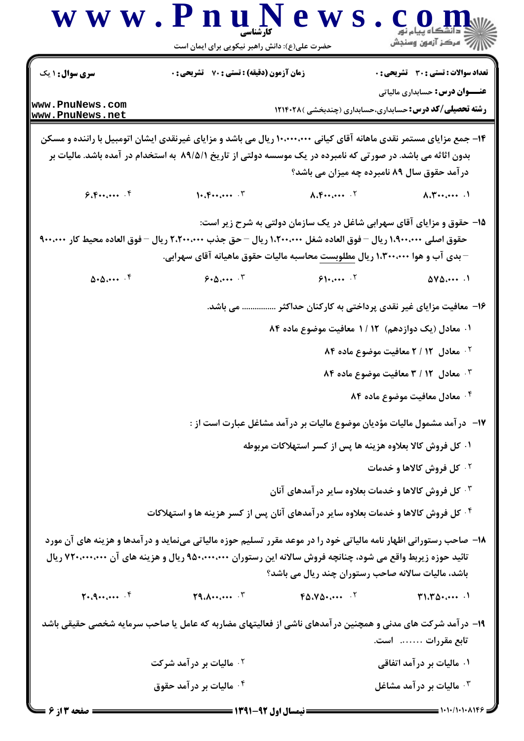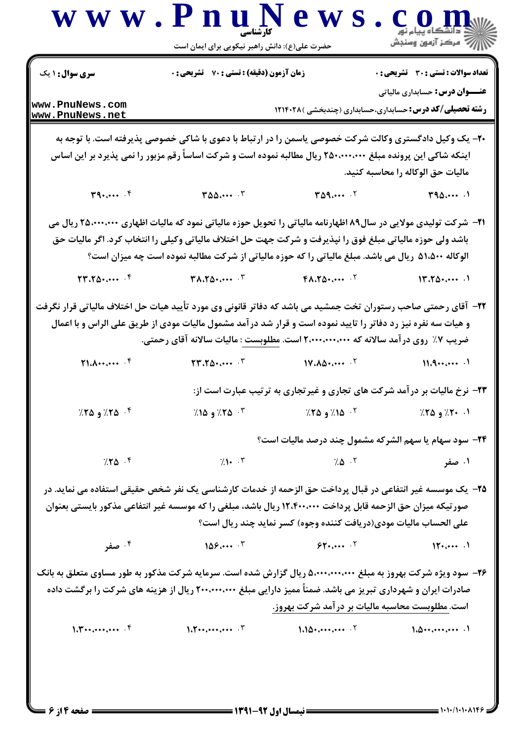|                                                                                        | حضرت علی(ع): دانش راهبر نیکویی برای ایمان است                                                                                                                                                                                                                                                                                                |                             | ڪ دانشگاه پيام نور<br>     > مرکز آزمون وسنڊش                                         |
|----------------------------------------------------------------------------------------|----------------------------------------------------------------------------------------------------------------------------------------------------------------------------------------------------------------------------------------------------------------------------------------------------------------------------------------------|-----------------------------|---------------------------------------------------------------------------------------|
| <b>سری سوال : ۱ یک</b>                                                                 | <b>زمان آزمون (دقیقه) : تستی : 70 گشریحی : 0</b>                                                                                                                                                                                                                                                                                             |                             | <b>تعداد سوالات : تستی : 30 ٪ تشریحی : 0</b><br><b>عنـــوان درس:</b> حسابداری مالیاتی |
| www.PnuNews.com<br>www.PnuNews.net                                                     |                                                                                                                                                                                                                                                                                                                                              |                             | <b>رشته تحصیلی/کد درس:</b> حسابداری،حسابداری (چندبخشی )۲۱۴۰۲۸                         |
|                                                                                        | ۲۰- یک وکیل دادگستری وکالت شرکت خصوصی یاسمن را در ارتباط با دعوی با شاکی خصوصی پذیرفته است. با توجه به<br>اینکه شاکی این پرونده مبلغ ۲۵۰٬۰۰۰٬۰۰۰ ریال مطالبه نموده است و شرکت اساساً رقم مزبور را نمی پذیرد بر این اساس                                                                                                                      |                             | ماليات حق الوكاله را محاسبه كنيد.                                                     |
| $T^2$                                                                                  | $T\Delta\Delta\dots$ $T$                                                                                                                                                                                                                                                                                                                     | $T\Delta$ 9 $\cdot$ $\cdot$ | T90                                                                                   |
|                                                                                        | <b>ا۲</b> – شرکت تولیدی مولایی در سال۸۹ اظهارنامه مالیاتی را تحویل حوزه مالیاتی نمود که مالیات اظهاری ۲۵،۰۰۰،۰۰۰ ریال می<br>باشد ولی حوزه مالیاتی مبلغ فوق را نپذیرفت و شرکت جهت حل اختلاف مالیاتی وکیلی را انتخاب کرد. اگر مالیات حق<br>الوکاله ۵۱،۵۰۰ ریال می باشد. مبلغ مالیاتی را که حوزه مالیاتی از شرکت مطالبه نموده است چه میزان است؟ |                             |                                                                                       |
| $\mathbf{Y} \mathbf{Y} \cdot \mathbf{Y} \mathbf{Q} \cdot \mathbf{P} \cdots \mathbf{P}$ | $T\Lambda \Lambda T \Delta T \cdots T$                                                                                                                                                                                                                                                                                                       | $FA.7\Delta$ + $.7$         | 11.104                                                                                |
| 71.1                                                                                   | و هیات سه نفره نیز رد دفاتر را تایید نموده است و قرار شد درآمد مشمول مالیات مودی از طریق علی الراس و با اعمال<br>ضریب ۷٪ روی در آمد سالانه که ۲٬۰۰۰٬۰۰۰٬۰۰۰ است. <u>مطلوبست</u> : مالیات سالانه آقای رحمتی.<br>$\mathbf{Y} \mathbf{Y} \cdot \mathbf{Y} \Delta \cdot \cdots \cdot \mathbf{Y}$                                                 | 11.404                      | 11.9                                                                                  |
|                                                                                        |                                                                                                                                                                                                                                                                                                                                              |                             | ۲۳- نرخ مالیات بر درآمد شرکت های تجاری و غیرتجاری به ترتیب عبارت است از:              |
| $\%$ ۵ ۲۵ و ۲۵٪                                                                        | ۰۱ - ۲۰٪ و ۲۵٪ (مسلم ۲۰۰۵)، ۱۵٪ و ۲۵٪ و ۲۵٪ و ۲۵٪ و ۲۵٪ و ۲۵٪ و ۲۵٪ و ۲۵٪ و ۲۵٪ و ۲۵٪ و ۲۵٪ و ۲۵٪ و ۲۵٪ و                                                                                                                                                                                                                                    |                             |                                                                                       |
|                                                                                        |                                                                                                                                                                                                                                                                                                                                              |                             | <b>34</b> - سود سهام یا سهم الشركه مشمول چند درصد مالیات است؟                         |
| $7.70$ $\cdot$                                                                         | $(1 - \mathcal{K})$                                                                                                                                                                                                                                                                                                                          | $7.0$ . T                   | ۰۱ صفر                                                                                |
|                                                                                        | ۲۵– یک موسسه غیر انتفاعی در قبال پرداخت حق الزحمه از خدمات کارشناسی یک نفر شخص حقیقی استفاده می نماید. در<br>صورتیکه میزان حق الزحمه قابل پرداخت ۱۲٬۴۰۰،۰۰۰ ریال باشد، مبلغی را که موسسه غیر انتفاعی مذکور بایستی بعنوان<br>على الحساب ماليات مودي(دريافت كننده وجوه) كسر نمايد چند ريال است؟                                                |                             |                                                                                       |
| ۰۴ صفر                                                                                 | 1097                                                                                                                                                                                                                                                                                                                                         | $55.5$ $57.5$               | $\mathcal{W}$                                                                         |
|                                                                                        | ۲۶- سود ویژه شرکت بهروز به مبلغ ۵٬۰۰۰٬۰۰۰٬۰۰۰ ریال گزارش شده است. سرمایه شرکت مذکور به طور مساوی متعلق به بانک<br>صادرات ایران و شهرداری تبریز می باشد. ضمناً ممیز دارایی مبلغ ۲۰۰٬۰۰۰٬۰۰۰ ریال از هزینه های شرکت را برگشت داده                                                                                                              |                             | است. مطلوبست محاسبه مالیات بر در آمد شرکت بهروز.                                      |
|                                                                                        | $1.7 \cdot \cdot \cdot \cdot \cdot \cdot$ $\cdot \cdot \cdot$ $1.10 \cdot \cdot \cdot \cdot \cdot \cdot \cdot \cdot \cdot$                                                                                                                                                                                                                   |                             | 1.0                                                                                   |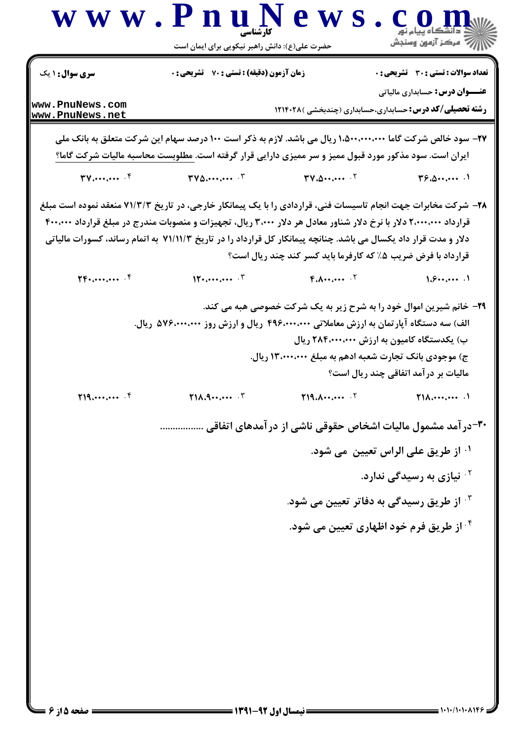| <b>زمان آزمون (دقیقه) : تستی : 70 قشریحی : 0</b><br><b>سری سوال :</b> ۱ یک<br><b>عنـــوان درس:</b> حسابداری مالیاتی<br>www.PnuNews.com<br><b>رشته تحصیلی/کد درس:</b> حسابداری،حسابداری (چندبخشی )۱۲۱۴۰۲۸<br>www.PnuNews.net<br>۲۷– سود خالص شرکت گاما ۱،۵۰۰٬۰۰۰٬۰۰۰ ریال می باشد. لازم به ذکر است ۱۰۰ درصد سهام این شرکت متعلق به بانک ملی<br>ایران است. سود مذکور مورد قبول ممیز و سر ممیزی دارایی قرار گرفته است. مطلوبست محاسبه مالیات شرکت گاما؟<br>$TV$ and $\mathcal{N}$<br>$TVA$ $T$<br>$TV \cdot \Delta \cdot \cdots \cdot V$<br>T5.0<br>۲۸– شرکت مخابرات جهت انجام تاسیسات فنی، قراردادی را با یک پیمانکار خارجی، در تاریخ ۷۱/۳/۳ منعقد نموده است مبلغ<br>قرارداد ۲٬۰۰۰٬۰۰۰ دلار با نرخ دلار شناور معادل هر دلار ۳٬۰۰۰ ریال، تجهیزات و منصوبات مندرج در مبلغ قرارداد ۴۰۰٬۰۰۰<br>دلار و مدت قرار داد یکسال می باشد. چنانچه پیمانکار کل قرارداد را در تاریخ ۷۱/۱۱/۳ به اتمام رساند، کسورات مالیاتی<br>قرارداد با فرض ضریب ۰.۵٪ که کارفرما باید کسر کند چند ریال است؟<br>1.9<br>$\Upsilon F_{\cdot}, \ldots, \ldots$ . $F$<br>$\mathbf{M}$ $\mathbf{r}$<br>$F.A \cdots \cdots$<br>۲۹- خانم شیرین اموال خود را به شرح زیر به یک شرکت خصوصی هبه می کند.<br>الف) سه دستگاه آپارتمان به ارزش معاملاتی ۴۹۶٬۰۰۰٬۰۰۰ ریال و ارزش روز ۵۷۶٬۰۰۰٬۰۰۰ ریال.<br>ب) یکدستگاه کامیون به ارزش ۲۸۴،۰۰۰،۰۰۰ ریال<br>ج) موجودی بانک تجارت شعبه ادهم به مبلغ ۱۳،۰۰۰،۰۰۰ ریال.<br>مالیات بر درآمد اتفاقی چند ریال است؟<br>T1A.9<br>519.444<br>T19.1<br>$\mathsf{Y1}\wedge\cdots\cdots\cdots$<br><b>۳۰</b> -در آمد مشمول مالیات اشخاص حقوقی ناشی از در آمدهای اتفاقی<br><sup>۱</sup> · از طريق على الراس تعيين  مي شود.<br><sup>۲.</sup> نیازی به رسیدگی ندارد.<br><sup>۳.</sup> از طریق رسیدگی به دفاتر تعیین می شود.<br><sup>۴.</sup> از طریق فرم خود اظهاری تعیین می شود. |  | حضرت علی(ع): دانش راهبر نیکویی برای ایمان است | أأآت مركز آزمون وسنجش                        |
|--------------------------------------------------------------------------------------------------------------------------------------------------------------------------------------------------------------------------------------------------------------------------------------------------------------------------------------------------------------------------------------------------------------------------------------------------------------------------------------------------------------------------------------------------------------------------------------------------------------------------------------------------------------------------------------------------------------------------------------------------------------------------------------------------------------------------------------------------------------------------------------------------------------------------------------------------------------------------------------------------------------------------------------------------------------------------------------------------------------------------------------------------------------------------------------------------------------------------------------------------------------------------------------------------------------------------------------------------------------------------------------------------------------------------------------------------------------------------------------------------------------------------------------------------------------------------------------------------------------------------------------------------------------------------------------------------------------------------------------------------------------|--|-----------------------------------------------|----------------------------------------------|
|                                                                                                                                                                                                                                                                                                                                                                                                                                                                                                                                                                                                                                                                                                                                                                                                                                                                                                                                                                                                                                                                                                                                                                                                                                                                                                                                                                                                                                                                                                                                                                                                                                                                                                                                                              |  |                                               | <b>تعداد سوالات : تستی : 30 ٪ تشریحی : 0</b> |
|                                                                                                                                                                                                                                                                                                                                                                                                                                                                                                                                                                                                                                                                                                                                                                                                                                                                                                                                                                                                                                                                                                                                                                                                                                                                                                                                                                                                                                                                                                                                                                                                                                                                                                                                                              |  |                                               |                                              |
|                                                                                                                                                                                                                                                                                                                                                                                                                                                                                                                                                                                                                                                                                                                                                                                                                                                                                                                                                                                                                                                                                                                                                                                                                                                                                                                                                                                                                                                                                                                                                                                                                                                                                                                                                              |  |                                               |                                              |
|                                                                                                                                                                                                                                                                                                                                                                                                                                                                                                                                                                                                                                                                                                                                                                                                                                                                                                                                                                                                                                                                                                                                                                                                                                                                                                                                                                                                                                                                                                                                                                                                                                                                                                                                                              |  |                                               |                                              |
|                                                                                                                                                                                                                                                                                                                                                                                                                                                                                                                                                                                                                                                                                                                                                                                                                                                                                                                                                                                                                                                                                                                                                                                                                                                                                                                                                                                                                                                                                                                                                                                                                                                                                                                                                              |  |                                               |                                              |
|                                                                                                                                                                                                                                                                                                                                                                                                                                                                                                                                                                                                                                                                                                                                                                                                                                                                                                                                                                                                                                                                                                                                                                                                                                                                                                                                                                                                                                                                                                                                                                                                                                                                                                                                                              |  |                                               |                                              |
|                                                                                                                                                                                                                                                                                                                                                                                                                                                                                                                                                                                                                                                                                                                                                                                                                                                                                                                                                                                                                                                                                                                                                                                                                                                                                                                                                                                                                                                                                                                                                                                                                                                                                                                                                              |  |                                               |                                              |
|                                                                                                                                                                                                                                                                                                                                                                                                                                                                                                                                                                                                                                                                                                                                                                                                                                                                                                                                                                                                                                                                                                                                                                                                                                                                                                                                                                                                                                                                                                                                                                                                                                                                                                                                                              |  |                                               |                                              |
|                                                                                                                                                                                                                                                                                                                                                                                                                                                                                                                                                                                                                                                                                                                                                                                                                                                                                                                                                                                                                                                                                                                                                                                                                                                                                                                                                                                                                                                                                                                                                                                                                                                                                                                                                              |  |                                               |                                              |
|                                                                                                                                                                                                                                                                                                                                                                                                                                                                                                                                                                                                                                                                                                                                                                                                                                                                                                                                                                                                                                                                                                                                                                                                                                                                                                                                                                                                                                                                                                                                                                                                                                                                                                                                                              |  |                                               |                                              |
|                                                                                                                                                                                                                                                                                                                                                                                                                                                                                                                                                                                                                                                                                                                                                                                                                                                                                                                                                                                                                                                                                                                                                                                                                                                                                                                                                                                                                                                                                                                                                                                                                                                                                                                                                              |  |                                               |                                              |
|                                                                                                                                                                                                                                                                                                                                                                                                                                                                                                                                                                                                                                                                                                                                                                                                                                                                                                                                                                                                                                                                                                                                                                                                                                                                                                                                                                                                                                                                                                                                                                                                                                                                                                                                                              |  |                                               |                                              |
|                                                                                                                                                                                                                                                                                                                                                                                                                                                                                                                                                                                                                                                                                                                                                                                                                                                                                                                                                                                                                                                                                                                                                                                                                                                                                                                                                                                                                                                                                                                                                                                                                                                                                                                                                              |  |                                               |                                              |
|                                                                                                                                                                                                                                                                                                                                                                                                                                                                                                                                                                                                                                                                                                                                                                                                                                                                                                                                                                                                                                                                                                                                                                                                                                                                                                                                                                                                                                                                                                                                                                                                                                                                                                                                                              |  |                                               |                                              |
|                                                                                                                                                                                                                                                                                                                                                                                                                                                                                                                                                                                                                                                                                                                                                                                                                                                                                                                                                                                                                                                                                                                                                                                                                                                                                                                                                                                                                                                                                                                                                                                                                                                                                                                                                              |  |                                               |                                              |
|                                                                                                                                                                                                                                                                                                                                                                                                                                                                                                                                                                                                                                                                                                                                                                                                                                                                                                                                                                                                                                                                                                                                                                                                                                                                                                                                                                                                                                                                                                                                                                                                                                                                                                                                                              |  |                                               |                                              |

 $\frac{1}{2}$   $\frac{1}{2}$ 

Τ